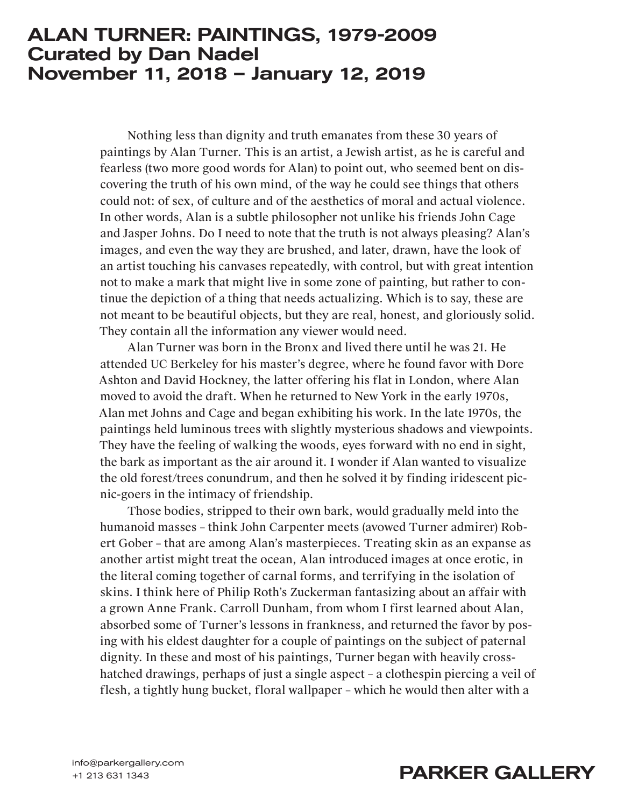## ALAN TURNER: PAINTINGS, 1979-2009 Curated by Dan Nadel November 11, 2018 – January 12, 2019

Nothing less than dignity and truth emanates from these 30 years of paintings by Alan Turner. This is an artist, a Jewish artist, as he is careful and fearless (two more good words for Alan) to point out, who seemed bent on discovering the truth of his own mind, of the way he could see things that others could not: of sex, of culture and of the aesthetics of moral and actual violence. In other words, Alan is a subtle philosopher not unlike his friends John Cage and Jasper Johns. Do I need to note that the truth is not always pleasing? Alan's images, and even the way they are brushed, and later, drawn, have the look of an artist touching his canvases repeatedly, with control, but with great intention not to make a mark that might live in some zone of painting, but rather to continue the depiction of a thing that needs actualizing. Which is to say, these are not meant to be beautiful objects, but they are real, honest, and gloriously solid. They contain all the information any viewer would need.

Alan Turner was born in the Bronx and lived there until he was 21. He attended UC Berkeley for his master's degree, where he found favor with Dore Ashton and David Hockney, the latter offering his flat in London, where Alan moved to avoid the draft. When he returned to New York in the early 1970s, Alan met Johns and Cage and began exhibiting his work. In the late 1970s, the paintings held luminous trees with slightly mysterious shadows and viewpoints. They have the feeling of walking the woods, eyes forward with no end in sight, the bark as important as the air around it. I wonder if Alan wanted to visualize the old forest/trees conundrum, and then he solved it by finding iridescent picnic-goers in the intimacy of friendship.

Those bodies, stripped to their own bark, would gradually meld into the humanoid masses – think John Carpenter meets (avowed Turner admirer) Robert Gober – that are among Alan's masterpieces. Treating skin as an expanse as another artist might treat the ocean, Alan introduced images at once erotic, in the literal coming together of carnal forms, and terrifying in the isolation of skins. I think here of Philip Roth's Zuckerman fantasizing about an affair with a grown Anne Frank. Carroll Dunham, from whom I first learned about Alan, absorbed some of Turner's lessons in frankness, and returned the favor by posing with his eldest daughter for a couple of paintings on the subject of paternal dignity. In these and most of his paintings, Turner began with heavily crosshatched drawings, perhaps of just a single aspect – a clothespin piercing a veil of flesh, a tightly hung bucket, floral wallpaper – which he would then alter with a

## info@parkergallery.com **info@parkergallery.com**<br>+1 213 631 1343 **Info@parkergallery.com**